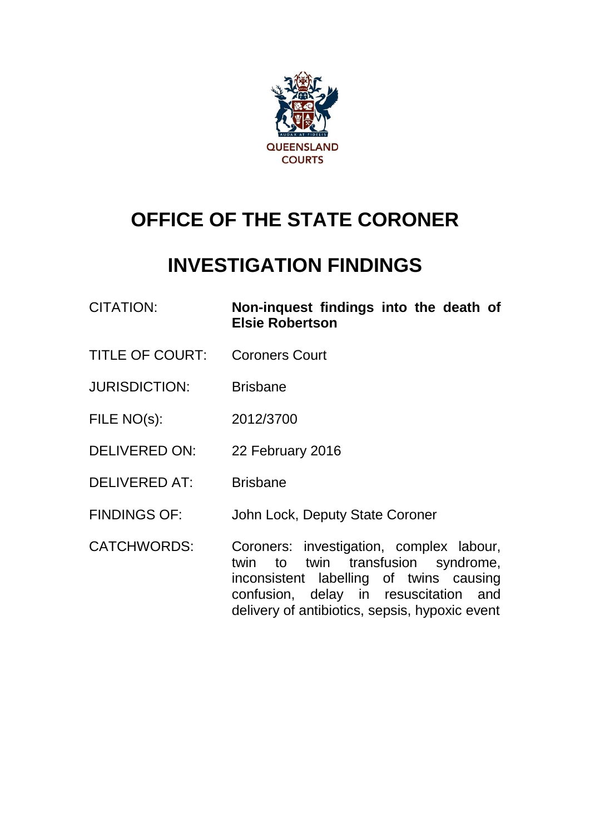

# **OFFICE OF THE STATE CORONER**

# **INVESTIGATION FINDINGS**

| <b>CITATION:</b>       | Non-inquest findings into the death of<br><b>Elsie Robertson</b>                                                             |
|------------------------|------------------------------------------------------------------------------------------------------------------------------|
| <b>TITLE OF COURT:</b> | <b>Coroners Court</b>                                                                                                        |
| <b>JURISDICTION:</b>   | <b>Brisbane</b>                                                                                                              |
| FILE NO(s):            | 2012/3700                                                                                                                    |
| <b>DELIVERED ON:</b>   | 22 February 2016                                                                                                             |
| <b>DELIVERED AT:</b>   | <b>Brisbane</b>                                                                                                              |
| <b>FINDINGS OF:</b>    | John Lock, Deputy State Coroner                                                                                              |
| <b>CATCHWORDS:</b>     | Coroners: investigation, complex labour,<br>to twin transfusion syndrome,<br>twin<br>inconsistent labelling of twins causing |

confusion, delay in resuscitation and delivery of antibiotics, sepsis, hypoxic event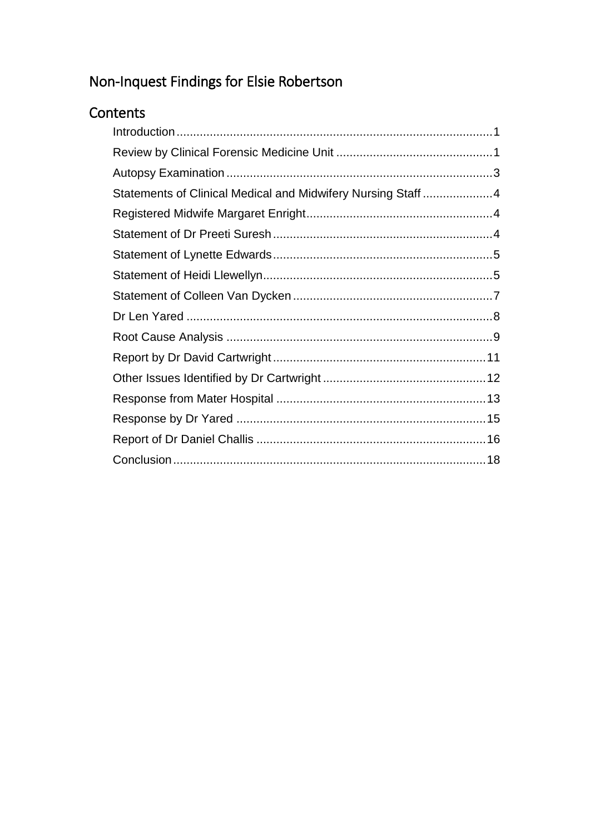## Non-Inquest Findings for Elsie Robertson

## Contents

| Statements of Clinical Medical and Midwifery Nursing Staff4 |
|-------------------------------------------------------------|
|                                                             |
|                                                             |
|                                                             |
|                                                             |
|                                                             |
|                                                             |
|                                                             |
|                                                             |
|                                                             |
|                                                             |
|                                                             |
|                                                             |
|                                                             |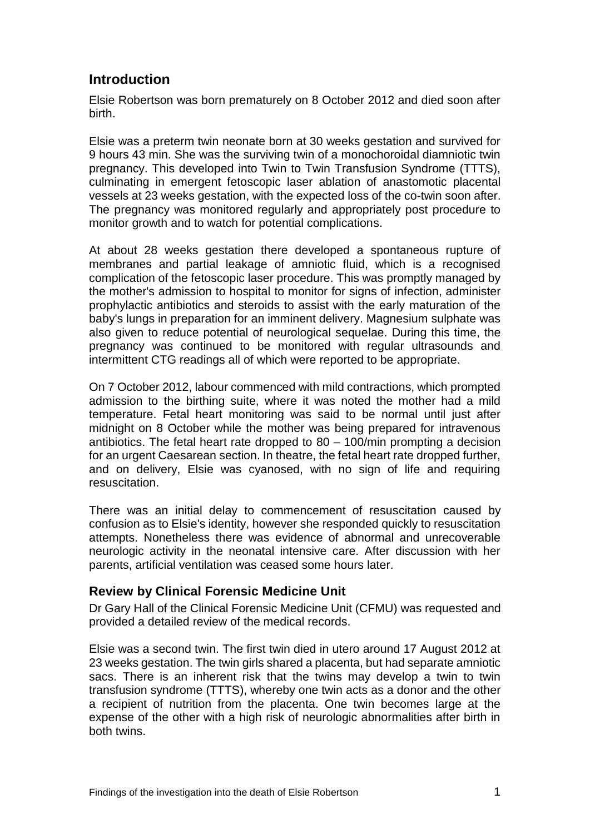## **Introduction**

Elsie Robertson was born prematurely on 8 October 2012 and died soon after birth.

Elsie was a preterm twin neonate born at 30 weeks gestation and survived for 9 hours 43 min. She was the surviving twin of a monochoroidal diamniotic twin pregnancy. This developed into Twin to Twin Transfusion Syndrome (TTTS), culminating in emergent fetoscopic laser ablation of anastomotic placental vessels at 23 weeks gestation, with the expected loss of the co-twin soon after. The pregnancy was monitored regularly and appropriately post procedure to monitor growth and to watch for potential complications.

At about 28 weeks gestation there developed a spontaneous rupture of membranes and partial leakage of amniotic fluid, which is a recognised complication of the fetoscopic laser procedure. This was promptly managed by the mother's admission to hospital to monitor for signs of infection, administer prophylactic antibiotics and steroids to assist with the early maturation of the baby's lungs in preparation for an imminent delivery. Magnesium sulphate was also given to reduce potential of neurological sequelae. During this time, the pregnancy was continued to be monitored with regular ultrasounds and intermittent CTG readings all of which were reported to be appropriate.

On 7 October 2012, labour commenced with mild contractions, which prompted admission to the birthing suite, where it was noted the mother had a mild temperature. Fetal heart monitoring was said to be normal until just after midnight on 8 October while the mother was being prepared for intravenous antibiotics. The fetal heart rate dropped to 80 – 100/min prompting a decision for an urgent Caesarean section. In theatre, the fetal heart rate dropped further, and on delivery, Elsie was cyanosed, with no sign of life and requiring resuscitation.

There was an initial delay to commencement of resuscitation caused by confusion as to Elsie's identity, however she responded quickly to resuscitation attempts. Nonetheless there was evidence of abnormal and unrecoverable neurologic activity in the neonatal intensive care. After discussion with her parents, artificial ventilation was ceased some hours later.

## **Review by Clinical Forensic Medicine Unit**

Dr Gary Hall of the Clinical Forensic Medicine Unit (CFMU) was requested and provided a detailed review of the medical records.

Elsie was a second twin. The first twin died in utero around 17 August 2012 at 23 weeks gestation. The twin girls shared a placenta, but had separate amniotic sacs. There is an inherent risk that the twins may develop a twin to twin transfusion syndrome (TTTS), whereby one twin acts as a donor and the other a recipient of nutrition from the placenta. One twin becomes large at the expense of the other with a high risk of neurologic abnormalities after birth in both twins.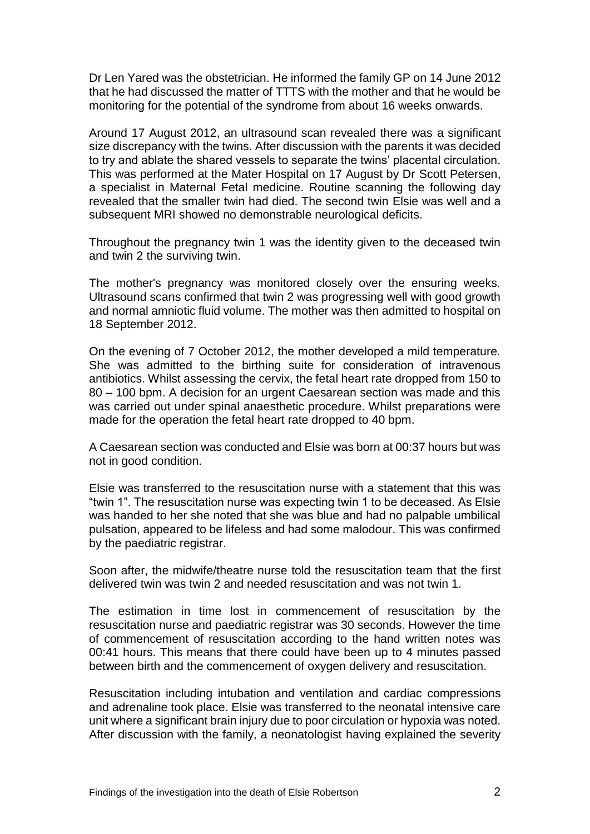Dr Len Yared was the obstetrician. He informed the family GP on 14 June 2012 that he had discussed the matter of TTTS with the mother and that he would be monitoring for the potential of the syndrome from about 16 weeks onwards.

Around 17 August 2012, an ultrasound scan revealed there was a significant size discrepancy with the twins. After discussion with the parents it was decided to try and ablate the shared vessels to separate the twins' placental circulation. This was performed at the Mater Hospital on 17 August by Dr Scott Petersen, a specialist in Maternal Fetal medicine. Routine scanning the following day revealed that the smaller twin had died. The second twin Elsie was well and a subsequent MRI showed no demonstrable neurological deficits.

Throughout the pregnancy twin 1 was the identity given to the deceased twin and twin 2 the surviving twin.

The mother's pregnancy was monitored closely over the ensuring weeks. Ultrasound scans confirmed that twin 2 was progressing well with good growth and normal amniotic fluid volume. The mother was then admitted to hospital on 18 September 2012.

On the evening of 7 October 2012, the mother developed a mild temperature. She was admitted to the birthing suite for consideration of intravenous antibiotics. Whilst assessing the cervix, the fetal heart rate dropped from 150 to 80 – 100 bpm. A decision for an urgent Caesarean section was made and this was carried out under spinal anaesthetic procedure. Whilst preparations were made for the operation the fetal heart rate dropped to 40 bpm.

A Caesarean section was conducted and Elsie was born at 00:37 hours but was not in good condition.

Elsie was transferred to the resuscitation nurse with a statement that this was "twin 1". The resuscitation nurse was expecting twin 1 to be deceased. As Elsie was handed to her she noted that she was blue and had no palpable umbilical pulsation, appeared to be lifeless and had some malodour. This was confirmed by the paediatric registrar.

Soon after, the midwife/theatre nurse told the resuscitation team that the first delivered twin was twin 2 and needed resuscitation and was not twin 1.

The estimation in time lost in commencement of resuscitation by the resuscitation nurse and paediatric registrar was 30 seconds. However the time of commencement of resuscitation according to the hand written notes was 00:41 hours. This means that there could have been up to 4 minutes passed between birth and the commencement of oxygen delivery and resuscitation.

Resuscitation including intubation and ventilation and cardiac compressions and adrenaline took place. Elsie was transferred to the neonatal intensive care unit where a significant brain injury due to poor circulation or hypoxia was noted. After discussion with the family, a neonatologist having explained the severity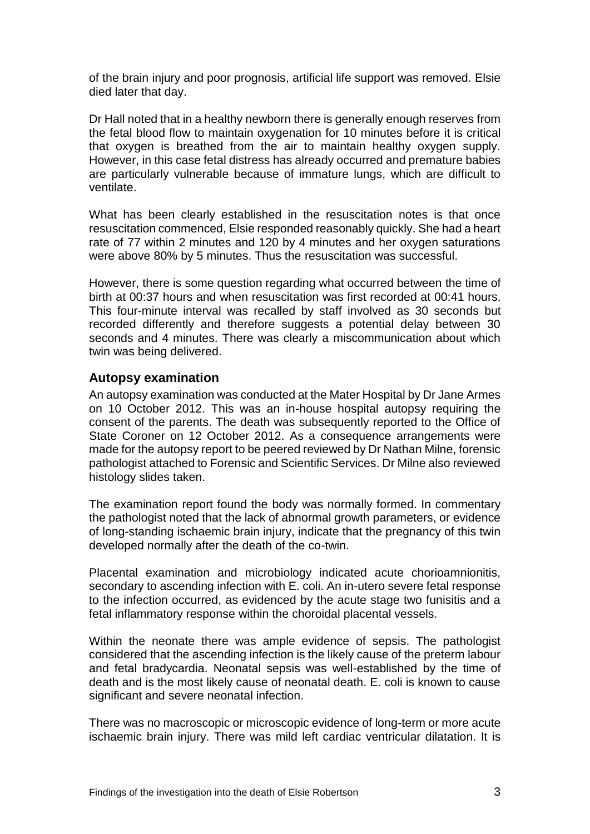of the brain injury and poor prognosis, artificial life support was removed. Elsie died later that day.

Dr Hall noted that in a healthy newborn there is generally enough reserves from the fetal blood flow to maintain oxygenation for 10 minutes before it is critical that oxygen is breathed from the air to maintain healthy oxygen supply. However, in this case fetal distress has already occurred and premature babies are particularly vulnerable because of immature lungs, which are difficult to ventilate.

What has been clearly established in the resuscitation notes is that once resuscitation commenced, Elsie responded reasonably quickly. She had a heart rate of 77 within 2 minutes and 120 by 4 minutes and her oxygen saturations were above 80% by 5 minutes. Thus the resuscitation was successful.

However, there is some question regarding what occurred between the time of birth at 00:37 hours and when resuscitation was first recorded at 00:41 hours. This four-minute interval was recalled by staff involved as 30 seconds but recorded differently and therefore suggests a potential delay between 30 seconds and 4 minutes. There was clearly a miscommunication about which twin was being delivered.

#### **Autopsy examination**

An autopsy examination was conducted at the Mater Hospital by Dr Jane Armes on 10 October 2012. This was an in-house hospital autopsy requiring the consent of the parents. The death was subsequently reported to the Office of State Coroner on 12 October 2012. As a consequence arrangements were made for the autopsy report to be peered reviewed by Dr Nathan Milne, forensic pathologist attached to Forensic and Scientific Services. Dr Milne also reviewed histology slides taken.

The examination report found the body was normally formed. In commentary the pathologist noted that the lack of abnormal growth parameters, or evidence of long-standing ischaemic brain injury, indicate that the pregnancy of this twin developed normally after the death of the co-twin.

Placental examination and microbiology indicated acute chorioamnionitis, secondary to ascending infection with E. coli. An in-utero severe fetal response to the infection occurred, as evidenced by the acute stage two funisitis and a fetal inflammatory response within the choroidal placental vessels.

Within the neonate there was ample evidence of sepsis. The pathologist considered that the ascending infection is the likely cause of the preterm labour and fetal bradycardia. Neonatal sepsis was well-established by the time of death and is the most likely cause of neonatal death. E. coli is known to cause significant and severe neonatal infection.

There was no macroscopic or microscopic evidence of long-term or more acute ischaemic brain injury. There was mild left cardiac ventricular dilatation. It is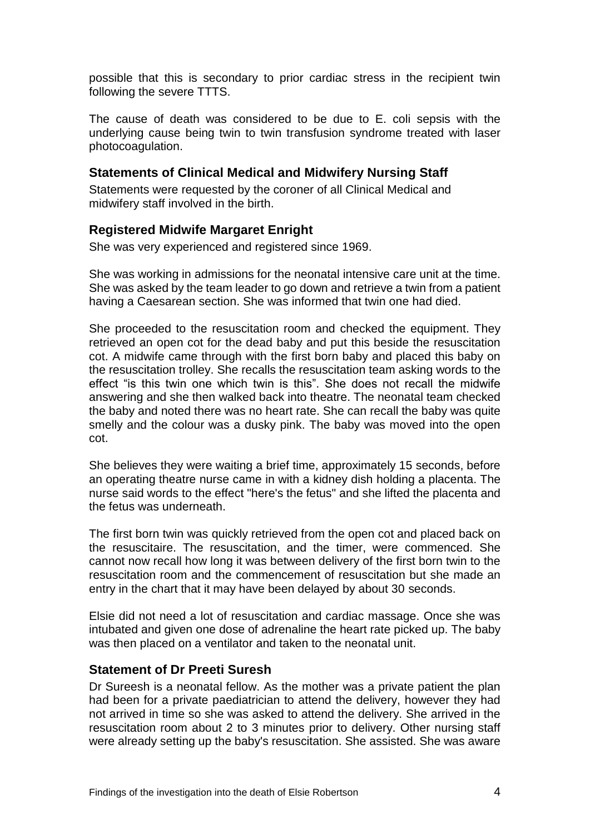possible that this is secondary to prior cardiac stress in the recipient twin following the severe TTTS.

The cause of death was considered to be due to E. coli sepsis with the underlying cause being twin to twin transfusion syndrome treated with laser photocoagulation.

#### **Statements of Clinical Medical and Midwifery Nursing Staff**

Statements were requested by the coroner of all Clinical Medical and midwifery staff involved in the birth.

### **Registered Midwife Margaret Enright**

She was very experienced and registered since 1969.

She was working in admissions for the neonatal intensive care unit at the time. She was asked by the team leader to go down and retrieve a twin from a patient having a Caesarean section. She was informed that twin one had died.

She proceeded to the resuscitation room and checked the equipment. They retrieved an open cot for the dead baby and put this beside the resuscitation cot. A midwife came through with the first born baby and placed this baby on the resuscitation trolley. She recalls the resuscitation team asking words to the effect "is this twin one which twin is this". She does not recall the midwife answering and she then walked back into theatre. The neonatal team checked the baby and noted there was no heart rate. She can recall the baby was quite smelly and the colour was a dusky pink. The baby was moved into the open cot.

She believes they were waiting a brief time, approximately 15 seconds, before an operating theatre nurse came in with a kidney dish holding a placenta. The nurse said words to the effect "here's the fetus" and she lifted the placenta and the fetus was underneath.

The first born twin was quickly retrieved from the open cot and placed back on the resuscitaire. The resuscitation, and the timer, were commenced. She cannot now recall how long it was between delivery of the first born twin to the resuscitation room and the commencement of resuscitation but she made an entry in the chart that it may have been delayed by about 30 seconds.

Elsie did not need a lot of resuscitation and cardiac massage. Once she was intubated and given one dose of adrenaline the heart rate picked up. The baby was then placed on a ventilator and taken to the neonatal unit.

#### **Statement of Dr Preeti Suresh**

Dr Sureesh is a neonatal fellow. As the mother was a private patient the plan had been for a private paediatrician to attend the delivery, however they had not arrived in time so she was asked to attend the delivery. She arrived in the resuscitation room about 2 to 3 minutes prior to delivery. Other nursing staff were already setting up the baby's resuscitation. She assisted. She was aware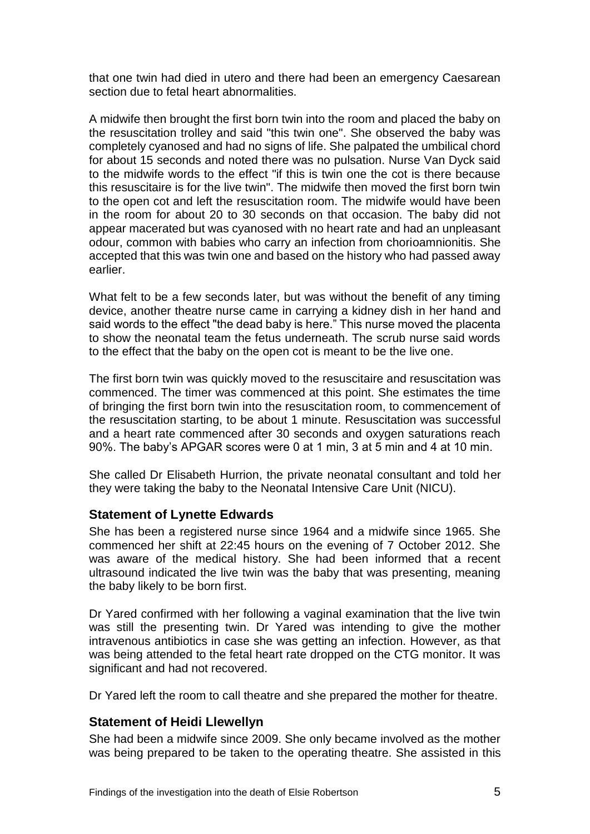that one twin had died in utero and there had been an emergency Caesarean section due to fetal heart abnormalities.

A midwife then brought the first born twin into the room and placed the baby on the resuscitation trolley and said "this twin one". She observed the baby was completely cyanosed and had no signs of life. She palpated the umbilical chord for about 15 seconds and noted there was no pulsation. Nurse Van Dyck said to the midwife words to the effect "if this is twin one the cot is there because this resuscitaire is for the live twin". The midwife then moved the first born twin to the open cot and left the resuscitation room. The midwife would have been in the room for about 20 to 30 seconds on that occasion. The baby did not appear macerated but was cyanosed with no heart rate and had an unpleasant odour, common with babies who carry an infection from chorioamnionitis. She accepted that this was twin one and based on the history who had passed away earlier.

What felt to be a few seconds later, but was without the benefit of any timing device, another theatre nurse came in carrying a kidney dish in her hand and said words to the effect "the dead baby is here." This nurse moved the placenta to show the neonatal team the fetus underneath. The scrub nurse said words to the effect that the baby on the open cot is meant to be the live one.

The first born twin was quickly moved to the resuscitaire and resuscitation was commenced. The timer was commenced at this point. She estimates the time of bringing the first born twin into the resuscitation room, to commencement of the resuscitation starting, to be about 1 minute. Resuscitation was successful and a heart rate commenced after 30 seconds and oxygen saturations reach 90%. The baby's APGAR scores were 0 at 1 min, 3 at 5 min and 4 at 10 min.

She called Dr Elisabeth Hurrion, the private neonatal consultant and told her they were taking the baby to the Neonatal Intensive Care Unit (NICU).

#### **Statement of Lynette Edwards**

She has been a registered nurse since 1964 and a midwife since 1965. She commenced her shift at 22:45 hours on the evening of 7 October 2012. She was aware of the medical history. She had been informed that a recent ultrasound indicated the live twin was the baby that was presenting, meaning the baby likely to be born first.

Dr Yared confirmed with her following a vaginal examination that the live twin was still the presenting twin. Dr Yared was intending to give the mother intravenous antibiotics in case she was getting an infection. However, as that was being attended to the fetal heart rate dropped on the CTG monitor. It was significant and had not recovered.

Dr Yared left the room to call theatre and she prepared the mother for theatre.

## **Statement of Heidi Llewellyn**

She had been a midwife since 2009. She only became involved as the mother was being prepared to be taken to the operating theatre. She assisted in this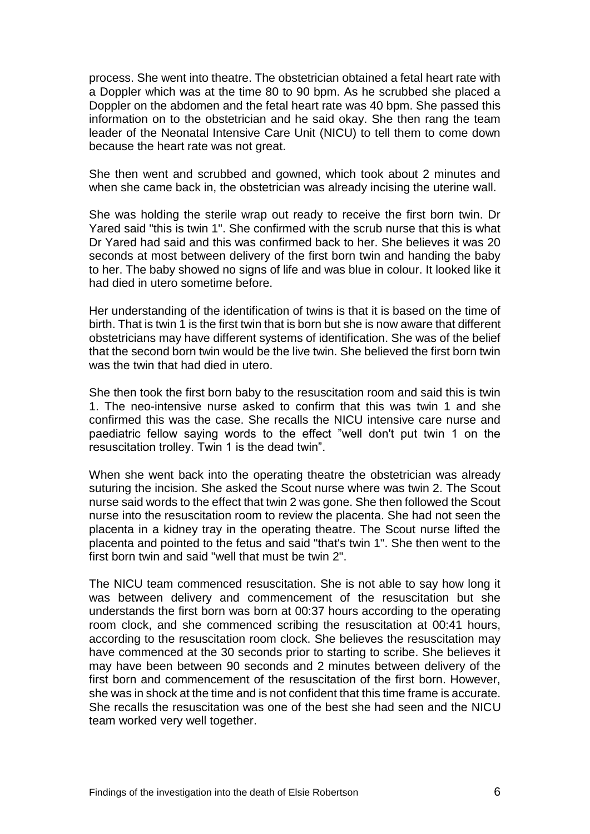process. She went into theatre. The obstetrician obtained a fetal heart rate with a Doppler which was at the time 80 to 90 bpm. As he scrubbed she placed a Doppler on the abdomen and the fetal heart rate was 40 bpm. She passed this information on to the obstetrician and he said okay. She then rang the team leader of the Neonatal Intensive Care Unit (NICU) to tell them to come down because the heart rate was not great.

She then went and scrubbed and gowned, which took about 2 minutes and when she came back in, the obstetrician was already incising the uterine wall.

She was holding the sterile wrap out ready to receive the first born twin. Dr Yared said "this is twin 1". She confirmed with the scrub nurse that this is what Dr Yared had said and this was confirmed back to her. She believes it was 20 seconds at most between delivery of the first born twin and handing the baby to her. The baby showed no signs of life and was blue in colour. It looked like it had died in utero sometime before.

Her understanding of the identification of twins is that it is based on the time of birth. That is twin 1 is the first twin that is born but she is now aware that different obstetricians may have different systems of identification. She was of the belief that the second born twin would be the live twin. She believed the first born twin was the twin that had died in utero.

She then took the first born baby to the resuscitation room and said this is twin 1. The neo-intensive nurse asked to confirm that this was twin 1 and she confirmed this was the case. She recalls the NICU intensive care nurse and paediatric fellow saying words to the effect "well don't put twin 1 on the resuscitation trolley. Twin 1 is the dead twin".

When she went back into the operating theatre the obstetrician was already suturing the incision. She asked the Scout nurse where was twin 2. The Scout nurse said words to the effect that twin 2 was gone. She then followed the Scout nurse into the resuscitation room to review the placenta. She had not seen the placenta in a kidney tray in the operating theatre. The Scout nurse lifted the placenta and pointed to the fetus and said "that's twin 1". She then went to the first born twin and said "well that must be twin 2".

The NICU team commenced resuscitation. She is not able to say how long it was between delivery and commencement of the resuscitation but she understands the first born was born at 00:37 hours according to the operating room clock, and she commenced scribing the resuscitation at 00:41 hours, according to the resuscitation room clock. She believes the resuscitation may have commenced at the 30 seconds prior to starting to scribe. She believes it may have been between 90 seconds and 2 minutes between delivery of the first born and commencement of the resuscitation of the first born. However, she was in shock at the time and is not confident that this time frame is accurate. She recalls the resuscitation was one of the best she had seen and the NICU team worked very well together.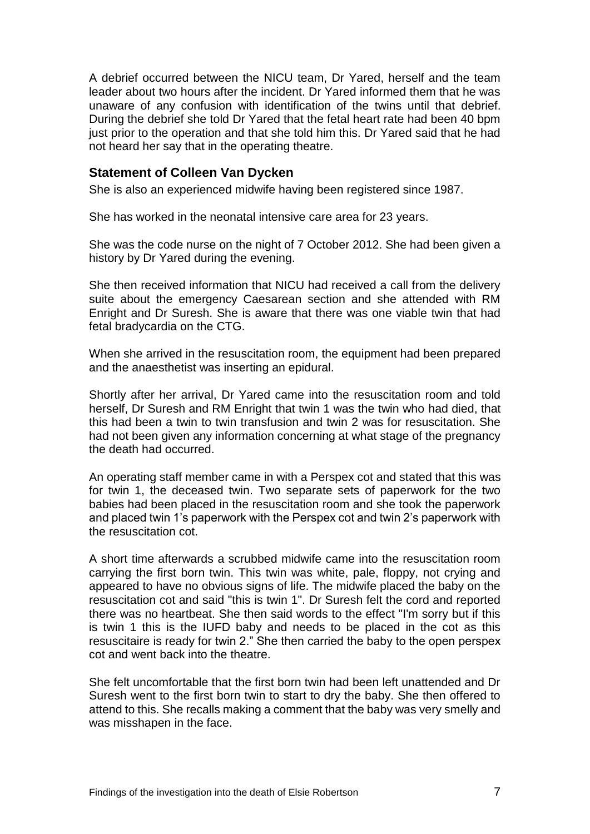A debrief occurred between the NICU team, Dr Yared, herself and the team leader about two hours after the incident. Dr Yared informed them that he was unaware of any confusion with identification of the twins until that debrief. During the debrief she told Dr Yared that the fetal heart rate had been 40 bpm just prior to the operation and that she told him this. Dr Yared said that he had not heard her say that in the operating theatre.

#### **Statement of Colleen Van Dycken**

She is also an experienced midwife having been registered since 1987.

She has worked in the neonatal intensive care area for 23 years.

She was the code nurse on the night of 7 October 2012. She had been given a history by Dr Yared during the evening.

She then received information that NICU had received a call from the delivery suite about the emergency Caesarean section and she attended with RM Enright and Dr Suresh. She is aware that there was one viable twin that had fetal bradycardia on the CTG.

When she arrived in the resuscitation room, the equipment had been prepared and the anaesthetist was inserting an epidural.

Shortly after her arrival, Dr Yared came into the resuscitation room and told herself, Dr Suresh and RM Enright that twin 1 was the twin who had died, that this had been a twin to twin transfusion and twin 2 was for resuscitation. She had not been given any information concerning at what stage of the pregnancy the death had occurred.

An operating staff member came in with a Perspex cot and stated that this was for twin 1, the deceased twin. Two separate sets of paperwork for the two babies had been placed in the resuscitation room and she took the paperwork and placed twin 1's paperwork with the Perspex cot and twin 2's paperwork with the resuscitation cot.

A short time afterwards a scrubbed midwife came into the resuscitation room carrying the first born twin. This twin was white, pale, floppy, not crying and appeared to have no obvious signs of life. The midwife placed the baby on the resuscitation cot and said "this is twin 1". Dr Suresh felt the cord and reported there was no heartbeat. She then said words to the effect "I'm sorry but if this is twin 1 this is the IUFD baby and needs to be placed in the cot as this resuscitaire is ready for twin 2." She then carried the baby to the open perspex cot and went back into the theatre.

She felt uncomfortable that the first born twin had been left unattended and Dr Suresh went to the first born twin to start to dry the baby. She then offered to attend to this. She recalls making a comment that the baby was very smelly and was misshapen in the face.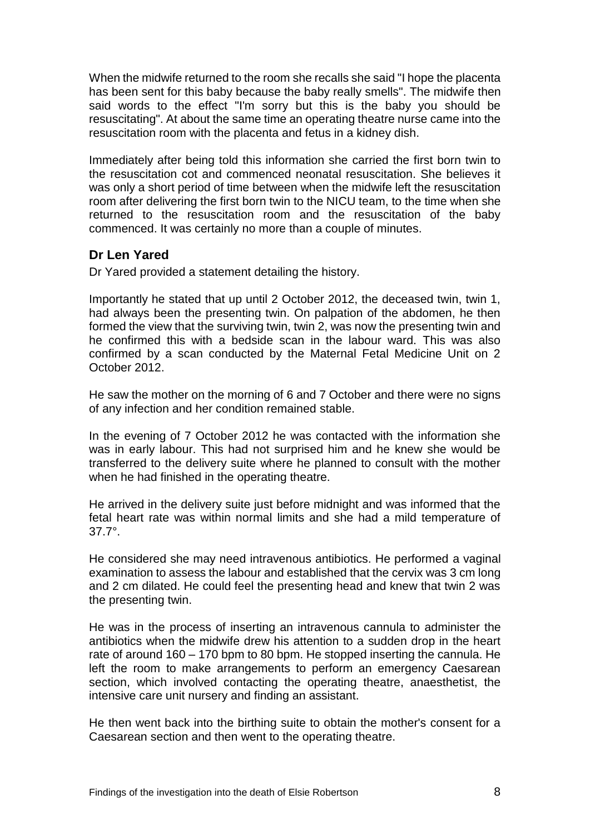When the midwife returned to the room she recalls she said "I hope the placenta has been sent for this baby because the baby really smells". The midwife then said words to the effect "I'm sorry but this is the baby you should be resuscitating". At about the same time an operating theatre nurse came into the resuscitation room with the placenta and fetus in a kidney dish.

Immediately after being told this information she carried the first born twin to the resuscitation cot and commenced neonatal resuscitation. She believes it was only a short period of time between when the midwife left the resuscitation room after delivering the first born twin to the NICU team, to the time when she returned to the resuscitation room and the resuscitation of the baby commenced. It was certainly no more than a couple of minutes.

## **Dr Len Yared**

Dr Yared provided a statement detailing the history.

Importantly he stated that up until 2 October 2012, the deceased twin, twin 1, had always been the presenting twin. On palpation of the abdomen, he then formed the view that the surviving twin, twin 2, was now the presenting twin and he confirmed this with a bedside scan in the labour ward. This was also confirmed by a scan conducted by the Maternal Fetal Medicine Unit on 2 October 2012.

He saw the mother on the morning of 6 and 7 October and there were no signs of any infection and her condition remained stable.

In the evening of 7 October 2012 he was contacted with the information she was in early labour. This had not surprised him and he knew she would be transferred to the delivery suite where he planned to consult with the mother when he had finished in the operating theatre.

He arrived in the delivery suite just before midnight and was informed that the fetal heart rate was within normal limits and she had a mild temperature of 37.7°.

He considered she may need intravenous antibiotics. He performed a vaginal examination to assess the labour and established that the cervix was 3 cm long and 2 cm dilated. He could feel the presenting head and knew that twin 2 was the presenting twin.

He was in the process of inserting an intravenous cannula to administer the antibiotics when the midwife drew his attention to a sudden drop in the heart rate of around 160 – 170 bpm to 80 bpm. He stopped inserting the cannula. He left the room to make arrangements to perform an emergency Caesarean section, which involved contacting the operating theatre, anaesthetist, the intensive care unit nursery and finding an assistant.

He then went back into the birthing suite to obtain the mother's consent for a Caesarean section and then went to the operating theatre.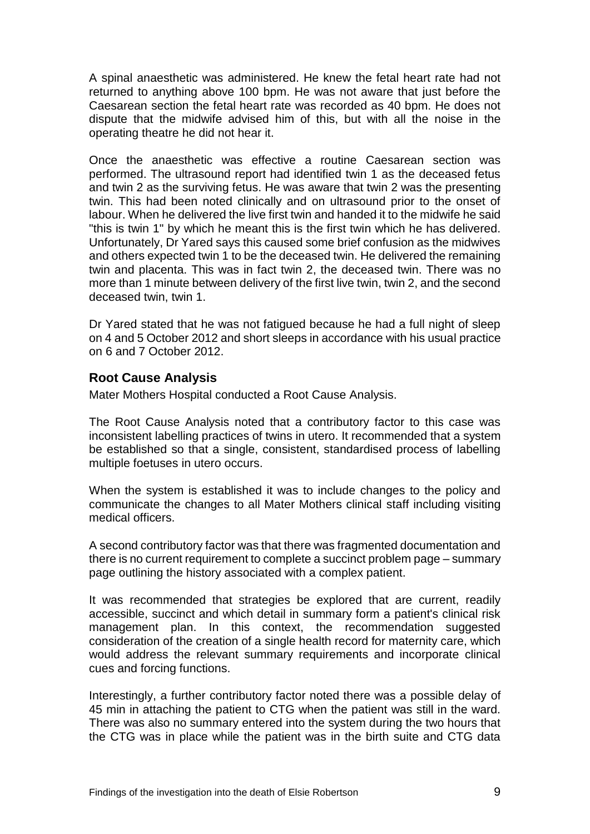A spinal anaesthetic was administered. He knew the fetal heart rate had not returned to anything above 100 bpm. He was not aware that just before the Caesarean section the fetal heart rate was recorded as 40 bpm. He does not dispute that the midwife advised him of this, but with all the noise in the operating theatre he did not hear it.

Once the anaesthetic was effective a routine Caesarean section was performed. The ultrasound report had identified twin 1 as the deceased fetus and twin 2 as the surviving fetus. He was aware that twin 2 was the presenting twin. This had been noted clinically and on ultrasound prior to the onset of labour. When he delivered the live first twin and handed it to the midwife he said "this is twin 1" by which he meant this is the first twin which he has delivered. Unfortunately, Dr Yared says this caused some brief confusion as the midwives and others expected twin 1 to be the deceased twin. He delivered the remaining twin and placenta. This was in fact twin 2, the deceased twin. There was no more than 1 minute between delivery of the first live twin, twin 2, and the second deceased twin, twin 1.

Dr Yared stated that he was not fatigued because he had a full night of sleep on 4 and 5 October 2012 and short sleeps in accordance with his usual practice on 6 and 7 October 2012.

### **Root Cause Analysis**

Mater Mothers Hospital conducted a Root Cause Analysis.

The Root Cause Analysis noted that a contributory factor to this case was inconsistent labelling practices of twins in utero. It recommended that a system be established so that a single, consistent, standardised process of labelling multiple foetuses in utero occurs.

When the system is established it was to include changes to the policy and communicate the changes to all Mater Mothers clinical staff including visiting medical officers.

A second contributory factor was that there was fragmented documentation and there is no current requirement to complete a succinct problem page – summary page outlining the history associated with a complex patient.

It was recommended that strategies be explored that are current, readily accessible, succinct and which detail in summary form a patient's clinical risk management plan. In this context, the recommendation suggested consideration of the creation of a single health record for maternity care, which would address the relevant summary requirements and incorporate clinical cues and forcing functions.

Interestingly, a further contributory factor noted there was a possible delay of 45 min in attaching the patient to CTG when the patient was still in the ward. There was also no summary entered into the system during the two hours that the CTG was in place while the patient was in the birth suite and CTG data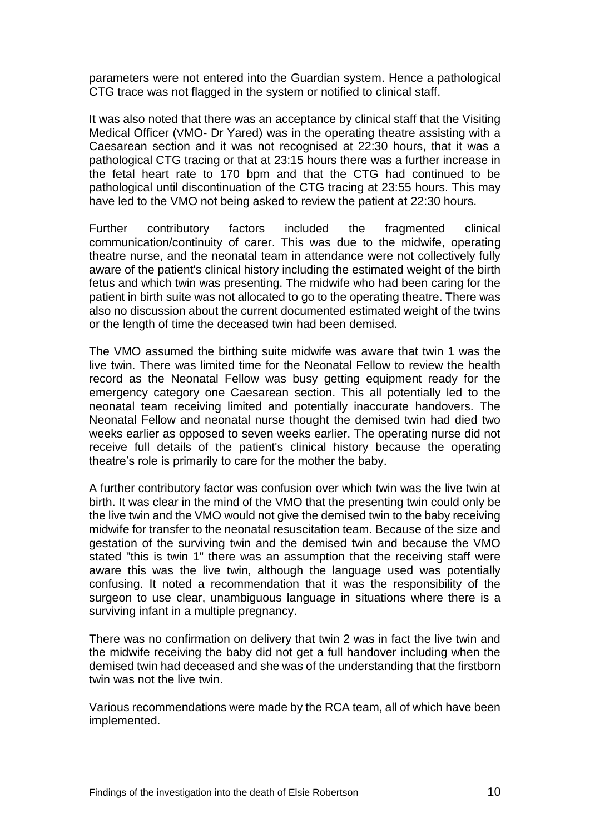parameters were not entered into the Guardian system. Hence a pathological CTG trace was not flagged in the system or notified to clinical staff.

It was also noted that there was an acceptance by clinical staff that the Visiting Medical Officer (VMO- Dr Yared) was in the operating theatre assisting with a Caesarean section and it was not recognised at 22:30 hours, that it was a pathological CTG tracing or that at 23:15 hours there was a further increase in the fetal heart rate to 170 bpm and that the CTG had continued to be pathological until discontinuation of the CTG tracing at 23:55 hours. This may have led to the VMO not being asked to review the patient at 22:30 hours.

Further contributory factors included the fragmented clinical communication/continuity of carer. This was due to the midwife, operating theatre nurse, and the neonatal team in attendance were not collectively fully aware of the patient's clinical history including the estimated weight of the birth fetus and which twin was presenting. The midwife who had been caring for the patient in birth suite was not allocated to go to the operating theatre. There was also no discussion about the current documented estimated weight of the twins or the length of time the deceased twin had been demised.

The VMO assumed the birthing suite midwife was aware that twin 1 was the live twin. There was limited time for the Neonatal Fellow to review the health record as the Neonatal Fellow was busy getting equipment ready for the emergency category one Caesarean section. This all potentially led to the neonatal team receiving limited and potentially inaccurate handovers. The Neonatal Fellow and neonatal nurse thought the demised twin had died two weeks earlier as opposed to seven weeks earlier. The operating nurse did not receive full details of the patient's clinical history because the operating theatre's role is primarily to care for the mother the baby.

A further contributory factor was confusion over which twin was the live twin at birth. It was clear in the mind of the VMO that the presenting twin could only be the live twin and the VMO would not give the demised twin to the baby receiving midwife for transfer to the neonatal resuscitation team. Because of the size and gestation of the surviving twin and the demised twin and because the VMO stated "this is twin 1" there was an assumption that the receiving staff were aware this was the live twin, although the language used was potentially confusing. It noted a recommendation that it was the responsibility of the surgeon to use clear, unambiguous language in situations where there is a surviving infant in a multiple pregnancy.

There was no confirmation on delivery that twin 2 was in fact the live twin and the midwife receiving the baby did not get a full handover including when the demised twin had deceased and she was of the understanding that the firstborn twin was not the live twin.

Various recommendations were made by the RCA team, all of which have been implemented.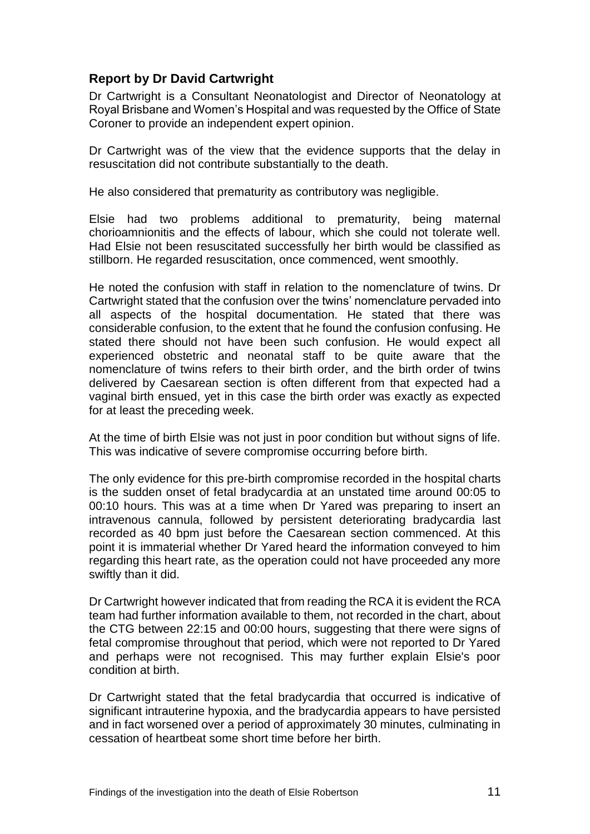## **Report by Dr David Cartwright**

Dr Cartwright is a Consultant Neonatologist and Director of Neonatology at Royal Brisbane and Women's Hospital and was requested by the Office of State Coroner to provide an independent expert opinion.

Dr Cartwright was of the view that the evidence supports that the delay in resuscitation did not contribute substantially to the death.

He also considered that prematurity as contributory was negligible.

Elsie had two problems additional to prematurity, being maternal chorioamnionitis and the effects of labour, which she could not tolerate well. Had Elsie not been resuscitated successfully her birth would be classified as stillborn. He regarded resuscitation, once commenced, went smoothly.

He noted the confusion with staff in relation to the nomenclature of twins. Dr Cartwright stated that the confusion over the twins' nomenclature pervaded into all aspects of the hospital documentation. He stated that there was considerable confusion, to the extent that he found the confusion confusing. He stated there should not have been such confusion. He would expect all experienced obstetric and neonatal staff to be quite aware that the nomenclature of twins refers to their birth order, and the birth order of twins delivered by Caesarean section is often different from that expected had a vaginal birth ensued, yet in this case the birth order was exactly as expected for at least the preceding week.

At the time of birth Elsie was not just in poor condition but without signs of life. This was indicative of severe compromise occurring before birth.

The only evidence for this pre-birth compromise recorded in the hospital charts is the sudden onset of fetal bradycardia at an unstated time around 00:05 to 00:10 hours. This was at a time when Dr Yared was preparing to insert an intravenous cannula, followed by persistent deteriorating bradycardia last recorded as 40 bpm just before the Caesarean section commenced. At this point it is immaterial whether Dr Yared heard the information conveyed to him regarding this heart rate, as the operation could not have proceeded any more swiftly than it did.

Dr Cartwright however indicated that from reading the RCA it is evident the RCA team had further information available to them, not recorded in the chart, about the CTG between 22:15 and 00:00 hours, suggesting that there were signs of fetal compromise throughout that period, which were not reported to Dr Yared and perhaps were not recognised. This may further explain Elsie's poor condition at birth.

Dr Cartwright stated that the fetal bradycardia that occurred is indicative of significant intrauterine hypoxia, and the bradycardia appears to have persisted and in fact worsened over a period of approximately 30 minutes, culminating in cessation of heartbeat some short time before her birth.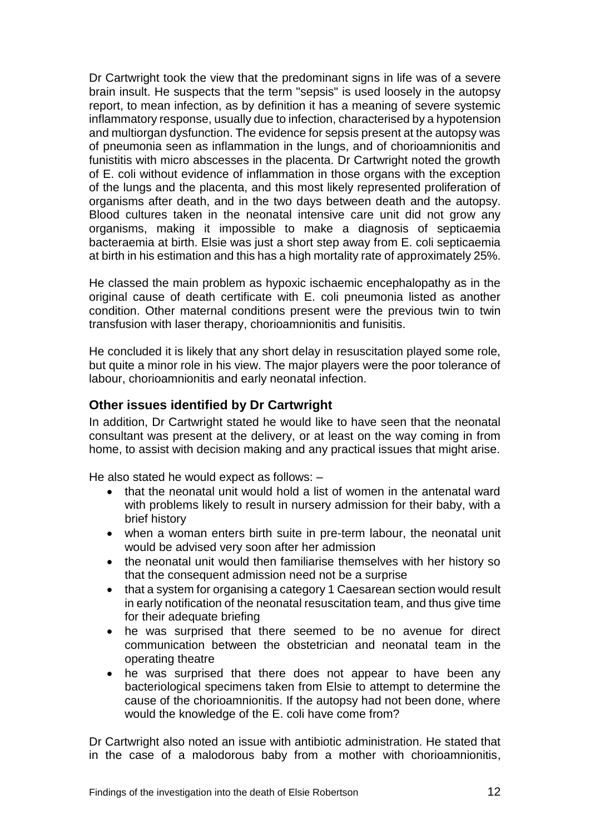Dr Cartwright took the view that the predominant signs in life was of a severe brain insult. He suspects that the term "sepsis" is used loosely in the autopsy report, to mean infection, as by definition it has a meaning of severe systemic inflammatory response, usually due to infection, characterised by a hypotension and multiorgan dysfunction. The evidence for sepsis present at the autopsy was of pneumonia seen as inflammation in the lungs, and of chorioamnionitis and funistitis with micro abscesses in the placenta. Dr Cartwright noted the growth of E. coli without evidence of inflammation in those organs with the exception of the lungs and the placenta, and this most likely represented proliferation of organisms after death, and in the two days between death and the autopsy. Blood cultures taken in the neonatal intensive care unit did not grow any organisms, making it impossible to make a diagnosis of septicaemia bacteraemia at birth. Elsie was just a short step away from E. coli septicaemia at birth in his estimation and this has a high mortality rate of approximately 25%.

He classed the main problem as hypoxic ischaemic encephalopathy as in the original cause of death certificate with E. coli pneumonia listed as another condition. Other maternal conditions present were the previous twin to twin transfusion with laser therapy, chorioamnionitis and funisitis.

He concluded it is likely that any short delay in resuscitation played some role, but quite a minor role in his view. The major players were the poor tolerance of labour, chorioamnionitis and early neonatal infection.

## **Other issues identified by Dr Cartwright**

In addition, Dr Cartwright stated he would like to have seen that the neonatal consultant was present at the delivery, or at least on the way coming in from home, to assist with decision making and any practical issues that might arise.

He also stated he would expect as follows: –

- that the neonatal unit would hold a list of women in the antenatal ward with problems likely to result in nursery admission for their baby, with a brief history
- when a woman enters birth suite in pre-term labour, the neonatal unit would be advised very soon after her admission
- the neonatal unit would then familiarise themselves with her history so that the consequent admission need not be a surprise
- that a system for organising a category 1 Caesarean section would result in early notification of the neonatal resuscitation team, and thus give time for their adequate briefing
- he was surprised that there seemed to be no avenue for direct communication between the obstetrician and neonatal team in the operating theatre
- he was surprised that there does not appear to have been any bacteriological specimens taken from Elsie to attempt to determine the cause of the chorioamnionitis. If the autopsy had not been done, where would the knowledge of the E. coli have come from?

Dr Cartwright also noted an issue with antibiotic administration. He stated that in the case of a malodorous baby from a mother with chorioamnionitis,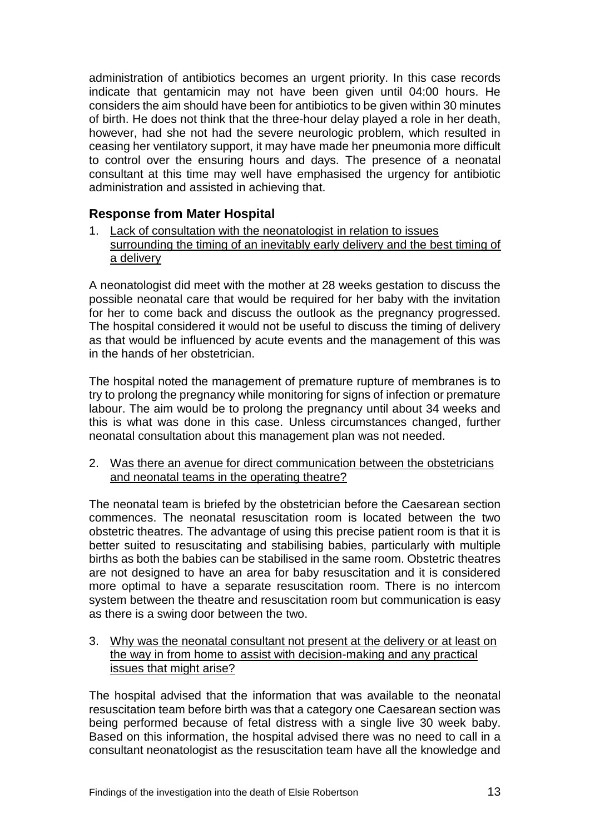administration of antibiotics becomes an urgent priority. In this case records indicate that gentamicin may not have been given until 04:00 hours. He considers the aim should have been for antibiotics to be given within 30 minutes of birth. He does not think that the three-hour delay played a role in her death, however, had she not had the severe neurologic problem, which resulted in ceasing her ventilatory support, it may have made her pneumonia more difficult to control over the ensuring hours and days. The presence of a neonatal consultant at this time may well have emphasised the urgency for antibiotic administration and assisted in achieving that.

## **Response from Mater Hospital**

1. Lack of consultation with the neonatologist in relation to issues surrounding the timing of an inevitably early delivery and the best timing of a delivery

A neonatologist did meet with the mother at 28 weeks gestation to discuss the possible neonatal care that would be required for her baby with the invitation for her to come back and discuss the outlook as the pregnancy progressed. The hospital considered it would not be useful to discuss the timing of delivery as that would be influenced by acute events and the management of this was in the hands of her obstetrician.

The hospital noted the management of premature rupture of membranes is to try to prolong the pregnancy while monitoring for signs of infection or premature labour. The aim would be to prolong the pregnancy until about 34 weeks and this is what was done in this case. Unless circumstances changed, further neonatal consultation about this management plan was not needed.

2. Was there an avenue for direct communication between the obstetricians and neonatal teams in the operating theatre?

The neonatal team is briefed by the obstetrician before the Caesarean section commences. The neonatal resuscitation room is located between the two obstetric theatres. The advantage of using this precise patient room is that it is better suited to resuscitating and stabilising babies, particularly with multiple births as both the babies can be stabilised in the same room. Obstetric theatres are not designed to have an area for baby resuscitation and it is considered more optimal to have a separate resuscitation room. There is no intercom system between the theatre and resuscitation room but communication is easy as there is a swing door between the two.

3. Why was the neonatal consultant not present at the delivery or at least on the way in from home to assist with decision-making and any practical issues that might arise?

The hospital advised that the information that was available to the neonatal resuscitation team before birth was that a category one Caesarean section was being performed because of fetal distress with a single live 30 week baby. Based on this information, the hospital advised there was no need to call in a consultant neonatologist as the resuscitation team have all the knowledge and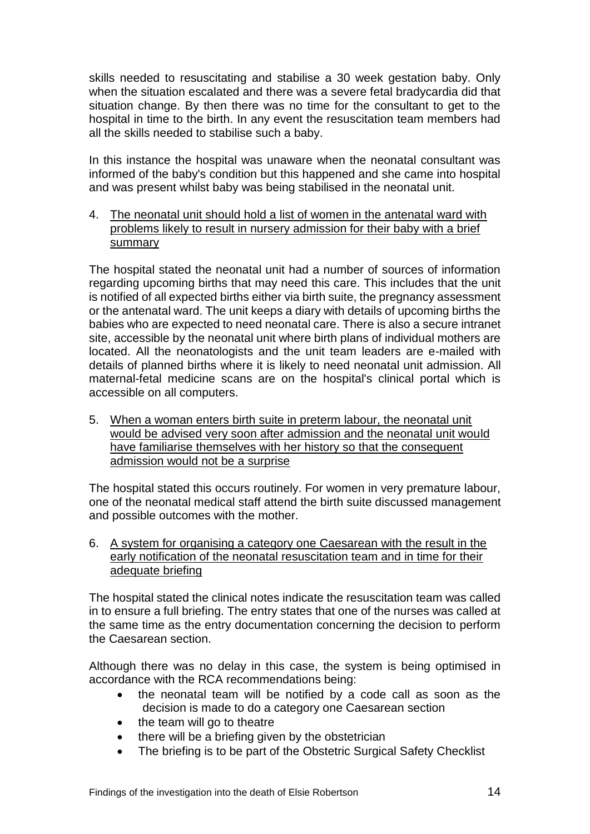skills needed to resuscitating and stabilise a 30 week gestation baby. Only when the situation escalated and there was a severe fetal bradycardia did that situation change. By then there was no time for the consultant to get to the hospital in time to the birth. In any event the resuscitation team members had all the skills needed to stabilise such a baby.

In this instance the hospital was unaware when the neonatal consultant was informed of the baby's condition but this happened and she came into hospital and was present whilst baby was being stabilised in the neonatal unit.

4. The neonatal unit should hold a list of women in the antenatal ward with problems likely to result in nursery admission for their baby with a brief **summary** 

The hospital stated the neonatal unit had a number of sources of information regarding upcoming births that may need this care. This includes that the unit is notified of all expected births either via birth suite, the pregnancy assessment or the antenatal ward. The unit keeps a diary with details of upcoming births the babies who are expected to need neonatal care. There is also a secure intranet site, accessible by the neonatal unit where birth plans of individual mothers are located. All the neonatologists and the unit team leaders are e-mailed with details of planned births where it is likely to need neonatal unit admission. All maternal-fetal medicine scans are on the hospital's clinical portal which is accessible on all computers.

5. When a woman enters birth suite in preterm labour, the neonatal unit would be advised very soon after admission and the neonatal unit would have familiarise themselves with her history so that the consequent admission would not be a surprise

The hospital stated this occurs routinely. For women in very premature labour, one of the neonatal medical staff attend the birth suite discussed management and possible outcomes with the mother.

6. A system for organising a category one Caesarean with the result in the early notification of the neonatal resuscitation team and in time for their adequate briefing

The hospital stated the clinical notes indicate the resuscitation team was called in to ensure a full briefing. The entry states that one of the nurses was called at the same time as the entry documentation concerning the decision to perform the Caesarean section.

Although there was no delay in this case, the system is being optimised in accordance with the RCA recommendations being:

- the neonatal team will be notified by a code call as soon as the decision is made to do a category one Caesarean section
- the team will go to theatre
- there will be a briefing given by the obstetrician
- The briefing is to be part of the Obstetric Surgical Safety Checklist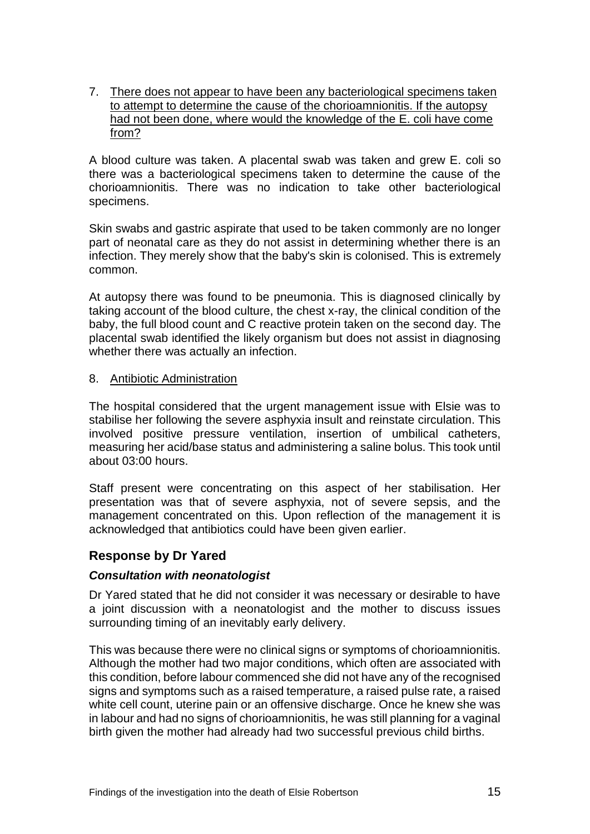7. There does not appear to have been any bacteriological specimens taken to attempt to determine the cause of the chorioamnionitis. If the autopsy had not been done, where would the knowledge of the E. coli have come from?

A blood culture was taken. A placental swab was taken and grew E. coli so there was a bacteriological specimens taken to determine the cause of the chorioamnionitis. There was no indication to take other bacteriological specimens.

Skin swabs and gastric aspirate that used to be taken commonly are no longer part of neonatal care as they do not assist in determining whether there is an infection. They merely show that the baby's skin is colonised. This is extremely common.

At autopsy there was found to be pneumonia. This is diagnosed clinically by taking account of the blood culture, the chest x-ray, the clinical condition of the baby, the full blood count and C reactive protein taken on the second day. The placental swab identified the likely organism but does not assist in diagnosing whether there was actually an infection.

#### 8. Antibiotic Administration

The hospital considered that the urgent management issue with Elsie was to stabilise her following the severe asphyxia insult and reinstate circulation. This involved positive pressure ventilation, insertion of umbilical catheters, measuring her acid/base status and administering a saline bolus. This took until about 03:00 hours.

Staff present were concentrating on this aspect of her stabilisation. Her presentation was that of severe asphyxia, not of severe sepsis, and the management concentrated on this. Upon reflection of the management it is acknowledged that antibiotics could have been given earlier.

#### **Response by Dr Yared**

#### *Consultation with neonatologist*

Dr Yared stated that he did not consider it was necessary or desirable to have a joint discussion with a neonatologist and the mother to discuss issues surrounding timing of an inevitably early delivery.

This was because there were no clinical signs or symptoms of chorioamnionitis. Although the mother had two major conditions, which often are associated with this condition, before labour commenced she did not have any of the recognised signs and symptoms such as a raised temperature, a raised pulse rate, a raised white cell count, uterine pain or an offensive discharge. Once he knew she was in labour and had no signs of chorioamnionitis, he was still planning for a vaginal birth given the mother had already had two successful previous child births.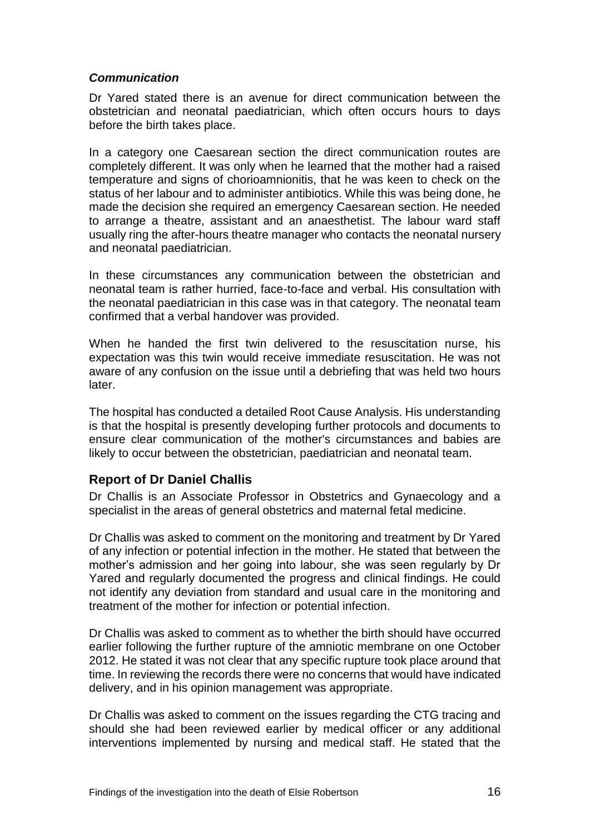### *Communication*

Dr Yared stated there is an avenue for direct communication between the obstetrician and neonatal paediatrician, which often occurs hours to days before the birth takes place.

In a category one Caesarean section the direct communication routes are completely different. It was only when he learned that the mother had a raised temperature and signs of chorioamnionitis, that he was keen to check on the status of her labour and to administer antibiotics. While this was being done, he made the decision she required an emergency Caesarean section. He needed to arrange a theatre, assistant and an anaesthetist. The labour ward staff usually ring the after-hours theatre manager who contacts the neonatal nursery and neonatal paediatrician.

In these circumstances any communication between the obstetrician and neonatal team is rather hurried, face-to-face and verbal. His consultation with the neonatal paediatrician in this case was in that category. The neonatal team confirmed that a verbal handover was provided.

When he handed the first twin delivered to the resuscitation nurse, his expectation was this twin would receive immediate resuscitation. He was not aware of any confusion on the issue until a debriefing that was held two hours later.

The hospital has conducted a detailed Root Cause Analysis. His understanding is that the hospital is presently developing further protocols and documents to ensure clear communication of the mother's circumstances and babies are likely to occur between the obstetrician, paediatrician and neonatal team.

## **Report of Dr Daniel Challis**

Dr Challis is an Associate Professor in Obstetrics and Gynaecology and a specialist in the areas of general obstetrics and maternal fetal medicine.

Dr Challis was asked to comment on the monitoring and treatment by Dr Yared of any infection or potential infection in the mother. He stated that between the mother's admission and her going into labour, she was seen regularly by Dr Yared and regularly documented the progress and clinical findings. He could not identify any deviation from standard and usual care in the monitoring and treatment of the mother for infection or potential infection.

Dr Challis was asked to comment as to whether the birth should have occurred earlier following the further rupture of the amniotic membrane on one October 2012. He stated it was not clear that any specific rupture took place around that time. In reviewing the records there were no concerns that would have indicated delivery, and in his opinion management was appropriate.

Dr Challis was asked to comment on the issues regarding the CTG tracing and should she had been reviewed earlier by medical officer or any additional interventions implemented by nursing and medical staff. He stated that the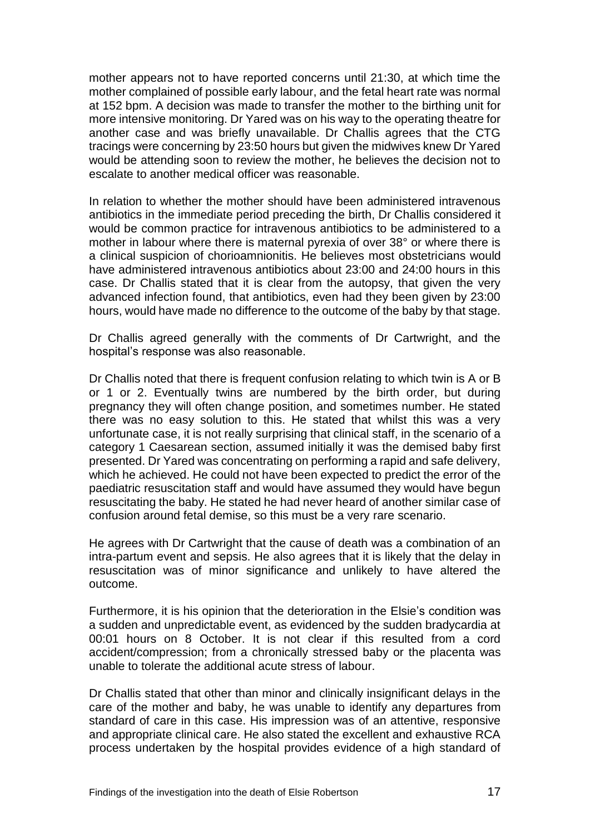mother appears not to have reported concerns until 21:30, at which time the mother complained of possible early labour, and the fetal heart rate was normal at 152 bpm. A decision was made to transfer the mother to the birthing unit for more intensive monitoring. Dr Yared was on his way to the operating theatre for another case and was briefly unavailable. Dr Challis agrees that the CTG tracings were concerning by 23:50 hours but given the midwives knew Dr Yared would be attending soon to review the mother, he believes the decision not to escalate to another medical officer was reasonable.

In relation to whether the mother should have been administered intravenous antibiotics in the immediate period preceding the birth, Dr Challis considered it would be common practice for intravenous antibiotics to be administered to a mother in labour where there is maternal pyrexia of over 38° or where there is a clinical suspicion of chorioamnionitis. He believes most obstetricians would have administered intravenous antibiotics about 23:00 and 24:00 hours in this case. Dr Challis stated that it is clear from the autopsy, that given the very advanced infection found, that antibiotics, even had they been given by 23:00 hours, would have made no difference to the outcome of the baby by that stage.

Dr Challis agreed generally with the comments of Dr Cartwright, and the hospital's response was also reasonable.

Dr Challis noted that there is frequent confusion relating to which twin is A or B or 1 or 2. Eventually twins are numbered by the birth order, but during pregnancy they will often change position, and sometimes number. He stated there was no easy solution to this. He stated that whilst this was a very unfortunate case, it is not really surprising that clinical staff, in the scenario of a category 1 Caesarean section, assumed initially it was the demised baby first presented. Dr Yared was concentrating on performing a rapid and safe delivery, which he achieved. He could not have been expected to predict the error of the paediatric resuscitation staff and would have assumed they would have begun resuscitating the baby. He stated he had never heard of another similar case of confusion around fetal demise, so this must be a very rare scenario.

He agrees with Dr Cartwright that the cause of death was a combination of an intra-partum event and sepsis. He also agrees that it is likely that the delay in resuscitation was of minor significance and unlikely to have altered the outcome.

Furthermore, it is his opinion that the deterioration in the Elsie's condition was a sudden and unpredictable event, as evidenced by the sudden bradycardia at 00:01 hours on 8 October. It is not clear if this resulted from a cord accident/compression; from a chronically stressed baby or the placenta was unable to tolerate the additional acute stress of labour.

Dr Challis stated that other than minor and clinically insignificant delays in the care of the mother and baby, he was unable to identify any departures from standard of care in this case. His impression was of an attentive, responsive and appropriate clinical care. He also stated the excellent and exhaustive RCA process undertaken by the hospital provides evidence of a high standard of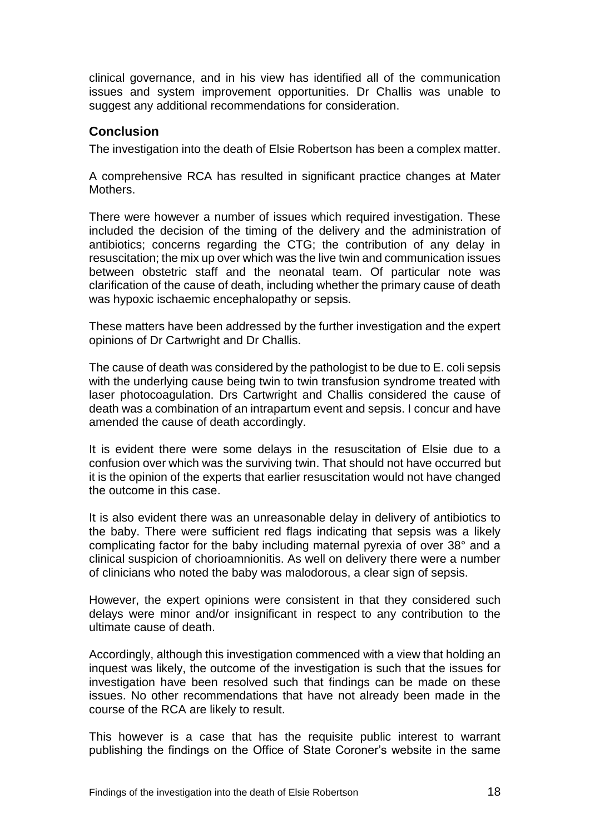clinical governance, and in his view has identified all of the communication issues and system improvement opportunities. Dr Challis was unable to suggest any additional recommendations for consideration.

## **Conclusion**

The investigation into the death of Elsie Robertson has been a complex matter.

A comprehensive RCA has resulted in significant practice changes at Mater Mothers.

There were however a number of issues which required investigation. These included the decision of the timing of the delivery and the administration of antibiotics; concerns regarding the CTG; the contribution of any delay in resuscitation; the mix up over which was the live twin and communication issues between obstetric staff and the neonatal team. Of particular note was clarification of the cause of death, including whether the primary cause of death was hypoxic ischaemic encephalopathy or sepsis.

These matters have been addressed by the further investigation and the expert opinions of Dr Cartwright and Dr Challis.

The cause of death was considered by the pathologist to be due to E. coli sepsis with the underlying cause being twin to twin transfusion syndrome treated with laser photocoagulation. Drs Cartwright and Challis considered the cause of death was a combination of an intrapartum event and sepsis. I concur and have amended the cause of death accordingly.

It is evident there were some delays in the resuscitation of Elsie due to a confusion over which was the surviving twin. That should not have occurred but it is the opinion of the experts that earlier resuscitation would not have changed the outcome in this case.

It is also evident there was an unreasonable delay in delivery of antibiotics to the baby. There were sufficient red flags indicating that sepsis was a likely complicating factor for the baby including maternal pyrexia of over 38° and a clinical suspicion of chorioamnionitis. As well on delivery there were a number of clinicians who noted the baby was malodorous, a clear sign of sepsis.

However, the expert opinions were consistent in that they considered such delays were minor and/or insignificant in respect to any contribution to the ultimate cause of death.

Accordingly, although this investigation commenced with a view that holding an inquest was likely, the outcome of the investigation is such that the issues for investigation have been resolved such that findings can be made on these issues. No other recommendations that have not already been made in the course of the RCA are likely to result.

This however is a case that has the requisite public interest to warrant publishing the findings on the Office of State Coroner's website in the same